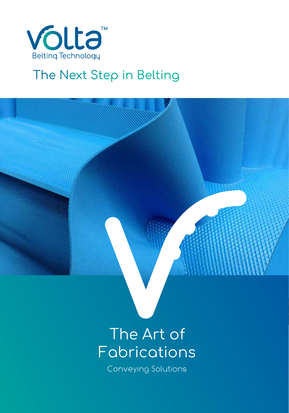

# The Next Step in Belting



# The Art of Fabrications

Conveying Solutions Conveying Solutions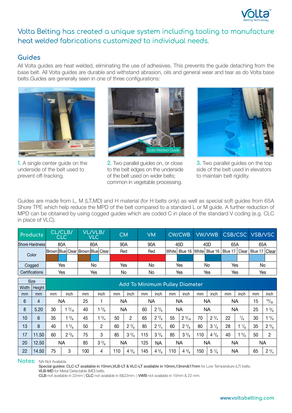

# Volta Belting has created a unique system including tooling to manufacture heat welded fabrications customized to individual needs.

### **Guides**

All Volta guides are heat welded, eliminating the use of adhesives. This prevents the guide detaching from the base belt. All Volta guides are durable and withstand abrasion, oils and general wear and tear as do Volta base belts.Guides are generally seen in one of three configurations:



**1.** A single center guide on the underside of the belt used to prevent off-tracking.



**2.** Two parallel guides on, or close to the belt edges on the underside of the belt used on wider belts; common in vegetable processing.



**3.** Two parallel guides on the top side of the belt used in elevators to maintain belt rigidity.

Guides are made from L, M (LT,MD) and H material (for H belts only) as well as special soft guides from 65A Shore TPE which help reduce the MPD of the belt compared to a standard L or M guide. A further reduction of MPD can be obtained by using cogged guides which are coded C in place of the standard V coding (e.g. CLC in place of VLC).

| <b>Products</b>       | CL/CLB/<br><b>CLC</b> | VL/VLB/<br><b>VLC</b>                 |     |  | СM  | VM  |     | <b>CW/CWB</b>                  |     |     |                 | VW/VWB CSB/CSC VSB/VSC |                 |     |  |
|-----------------------|-----------------------|---------------------------------------|-----|--|-----|-----|-----|--------------------------------|-----|-----|-----------------|------------------------|-----------------|-----|--|
| <b>Shore Hardness</b> | 80A                   | 80A                                   |     |  | 90A | 90A |     | 40D                            |     | 40D |                 | 65A                    |                 | 65A |  |
| Color                 |                       | Brown Blue  Clear   Brown Blue  Clear |     |  | Red | Red |     | White  Blue 16  White  Blue 16 |     |     | Blue 17   Clear |                        | Blue 17   Clear |     |  |
|                       |                       |                                       |     |  |     |     |     |                                |     |     |                 |                        |                 |     |  |
| Cogged                | Yes                   |                                       | No  |  | Yes | No  |     | Yes                            |     | No  |                 | Yes                    |                 | No  |  |
| Certifications        | Yes                   |                                       | Yes |  | No  | No  | Yes |                                | Yes |     | Yes             |                        | Yes             |     |  |

| <b>Size</b> |               |    |                                |     |                |     |                 |     |                 |           |                 |           |                |    |                |    |                |
|-------------|---------------|----|--------------------------------|-----|----------------|-----|-----------------|-----|-----------------|-----------|-----------------|-----------|----------------|----|----------------|----|----------------|
| Width       | <b>Height</b> |    | Add To Minimum Pulley Diameter |     |                |     |                 |     |                 |           |                 |           |                |    |                |    |                |
| mm          | mm            | mm | inch                           | mm  | inch           | mm  | inch            | mm  | inch            | mm        | inch            | mm        | inch           | mm | inch           | mm | inch           |
| 6           | 4             |    | NA                             | 25  |                | NA  |                 | NА  |                 | ΝA        |                 | <b>NA</b> |                | ΝA |                | 15 | 19/32          |
| 8           | 5.20          | 30 | $^{3}/_{16}$                   | 40  | $\frac{5}{8}$  | NA  |                 | 60  | $2^{3}/_{8}$    | <b>NA</b> |                 | <b>NA</b> |                | NA |                | 25 | $\frac{3}{8}$  |
| 10          | 6             | 35 | $1 \frac{3}{8}$                | 45  | $1^{3}/_{4}$   | 50  | $\overline{2}$  | 65  | $2^{3}/_{8}$    | 55        | $2\frac{3}{16}$ | 70        | $2^{3}/_{4}$   | 22 | $\frac{7}{8}$  | 30 | $^{5}/_{8}$    |
| 13          | 8             | 40 | $\frac{5}{8}$                  | 50  | 2              | 60  | $2 \frac{3}{8}$ | 85  | $2 \frac{3}{4}$ | 60        | $2 \frac{3}{8}$ | 80        | $3\frac{1}{8}$ | 28 | $1\frac{1}{8}$ | 35 | $2\frac{3}{8}$ |
| 17          | 11.50         | 60 | $2^{3}/8$                      | 75  | 3              | 85  | $3\frac{3}{8}$  | 115 | $3\frac{3}{8}$  | 85        | $3\frac{3}{8}$  | 110       | $4\frac{3}{8}$ | 40 | $^{5/8}$       | 50 | $\overline{c}$ |
| 20          | 12.50         |    | NA                             | 85  | $3\frac{3}{8}$ | NA  |                 | 125 | NA              | <b>NA</b> |                 | <b>NA</b> |                | NA |                |    | <b>NA</b>      |
| 22          | 14.50         | 75 | 3                              | 100 | 4              | 110 | $4^{3}/_{8}$    | 145 | $4\frac{3}{8}$  | 110       | $4^{3}/_{8}$    | 150       | $5\frac{7}{8}$ | NA |                | 65 | $2^{3}/_{4}$   |

**Notes:** NA-Not Available.

Special quides: CLC-LT available in 10mm, VLB-LT & VLC-LT available in 10mm, 13mm&17mm for Low Temperature (LT) belts; VLB-MD for Metal Detectable (MD) belts.

CLB-not available in 22mm | CLC-not available in 8&22mm. | VWB-not available in 10mm & 22 mm.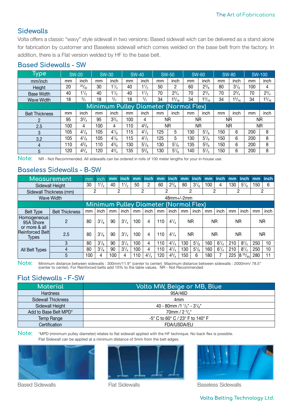### **Sidewalls**

Volta offers a classic "wavy" style sidewall in two versions: Based sidewall wich can be delivered as a stand alone for fabrication by customer and Baseless sidewall which comes welded on the base belt from the factory. In addition, there is a Flat version welded by HF to the base belt.

| Гуре                                         |     | <b>SW-20</b>   | <b>SW-30</b> |                | <b>SW-40</b> |                | <b>SW-50</b> |               | <b>SW-60</b> |                | <b>SW-80</b> |              | <b>SW-100</b> |              |
|----------------------------------------------|-----|----------------|--------------|----------------|--------------|----------------|--------------|---------------|--------------|----------------|--------------|--------------|---------------|--------------|
| mm/inch                                      | mm  | inch           | mm           | inch           | mm           | inch           | mm           | inch          | mm           | inch           | mm           | inch         | mm            | inch         |
| Height                                       | 20  | 25/32          | 30           | $1^{1}/_{4}$   | 40           | $1\frac{1}{2}$ | 50           | 2             | 60           | $2^{3}/_{8}$   | 80           | $3^{1}/_{8}$ | 100           | 4            |
| <b>Base Width</b>                            | 40  | $1\frac{1}{2}$ | 40           | $1\frac{1}{2}$ | 40           | $1^{1/2}$      | 70           | $2^{3}/_{4}$  | 70           | $2^{3}/_{4}$   | 70           | $2^{3}/_{4}$ | 70            | $2^{3}/_{4}$ |
| <b>Wave Width</b>                            | 18  | $^{5}/_{7}$    | 18           | $^{5/7}$       | 18           | 5/7            | 34           | $1^{5}/_{16}$ | 34           | $1^{5}/_{16}$  | 34           | $1^{5/16}$   | 34            | $1^{5/16}$   |
| <u>Minimum Pulley Diameter (Normal Flex)</u> |     |                |              |                |              |                |              |               |              |                |              |              |               |              |
| <b>Belt Thickness</b>                        | mm  | inch           | mm           | inch           | mm           | inch           | mm           | inch          | mm           | inch           | mm           | inch         | mm            | inch         |
| $\overline{2}$                               | 95  | $3^{3}/_{4}$   | 95           | $3^{3}/_{4}$   | 100          | 4              |              | ΝR            |              | <b>NR</b>      |              | ΝR           |               | ΝR           |
| 2.5                                          | 100 | 4              | 100          | 4              | 110          | $4^{3}/_{8}$   |              | <b>NR</b>     | <b>NR</b>    |                | <b>NR</b>    |              | <b>NR</b>     |              |
| 3                                            | 105 | $4^{1}/_{8}$   | 105          | $4^{1}/_{8}$   | 115          | $4^{1/2}$      | 125          | 5             | 130          | $5\frac{1}{8}$ | 150          | 6            | 200           | 8            |
| 3.2                                          | 105 | $4^{1}/_{8}$   | 105          | $4^{1}/_{8}$   | 115          | $4^{1/2}$      | 125          | 5             | 130          | $5^{1}/_{8}$   | 150          | 6            | 200           | 8            |
| $\overline{4}$                               | 110 | $4^{3}/_{8}$   | 110          | $4^{3}/_{8}$   | 130          | $5^{1}/_{8}$   | 130          | $5^{1}/_{8}$  | 135          | $5^{3}/_{8}$   | 150          | 6            | 200           | 8            |
| 5                                            | 120 | $4^{3}/_{4}$   | 120          | $4^{3}/_{4}$   | 135          | $5\frac{3}{8}$ | 130          | $5^{1}/_{8}$  | 140          | $5\frac{1}{2}$ | 150          | 6            | 200           | 8            |

#### **Based Sidewalls - SW**

**Note:** NR - Not Recommended. All sidewalls can be ordered in rolls of 100 meter lengths for your in-house use.

#### **Baseless Sidewalls - B-SW**

| Measurement                                                                  |                         |                   | inch         | mm  | <b>inch</b>    | mm  | <i>inch</i>  | mm  | inch         | mm  | <b>inch</b>                           | mm  | <b>inch</b>  | mm  | <b>linch</b>   | mm  | <b>inch</b> |
|------------------------------------------------------------------------------|-------------------------|-------------------|--------------|-----|----------------|-----|--------------|-----|--------------|-----|---------------------------------------|-----|--------------|-----|----------------|-----|-------------|
|                                                                              | Sidewall Height         | 30                | $1^{1}/_{4}$ | 40  | $1\frac{1}{2}$ | 50  | 2            | 60  | $2^{3}/_{8}$ | 80  | $3^{1}/_{8}$                          | 100 | 4            | 130 | $5\frac{1}{8}$ | 150 | 6           |
|                                                                              | Sidewall Thickness (mm) | 2                 |              | 2   |                | 2   |              |     | 2            |     | 2                                     |     | 2            | 2   |                | 2   |             |
|                                                                              | <b>Wave Width</b>       | $48$ mm $+/-2$ mm |              |     |                |     |              |     |              |     |                                       |     |              |     |                |     |             |
|                                                                              |                         |                   |              |     |                |     |              |     |              |     | Minimum Pulley Diameter (Normal Flex) |     |              |     |                |     |             |
| <b>Belt Type</b>                                                             | <b>Belt Thickness</b>   | mm                | inch         | mm  | inch           | mm  | inch         | mm  | inch         | mm  | inch                                  | mm  | inch         | mm  | inch           | mm  | inch        |
| Homogeneous<br>95A Shore<br>or more & all<br>Reinforced Belt<br><b>Types</b> | 2                       | 80                | $3^{1}/_{8}$ | 90  | $3^{1}/_{4}$   | 100 | 4            | 110 | $4^{1}/_{4}$ |     | ΝR<br>ΝR                              |     | ΝR           |     | ΝR             |     |             |
|                                                                              | 2.5                     | 80                | $3^{1}/_{8}$ | 90  | $3^{1}/_{4}$   | 100 | 4            | 110 | $4^{1}/_{4}$ |     | <b>NR</b>                             |     | ΝR           |     | ΝR             | ΝR  |             |
| All Belt Types                                                               | 3                       | 80                | $3^{1}/_{8}$ | 90  | $3^{1}/_{4}$   | 100 | 4            | 110 | $4^{1}/_{4}$ | 130 | $5^{1}/_{8}$                          | 160 | $6^{1}/_{4}$ | 210 | $8^{1}/_{4}$   | 250 | 10          |
|                                                                              | 4                       | 80                | $3^{1}/_{8}$ | 90  | $3^{1}/_{4}$   | 100 | 4            | 110 | $4^{1}/_{4}$ | 130 | $5^{1}/_{8}$                          | 160 | $6^{1}/_{4}$ | 210 | $8^{1}/_{4}$   | 250 | 10          |
|                                                                              | 5                       | 100               | 4            | 100 | 4              | 110 | $4^{1}/_{4}$ | 120 | $4^{3}/_{4}$ | 150 | 6                                     | 180 |              | 225 | 855/64         | 280 |             |

**Note:** Minimum distance between sidewalls : 300mm/11.9'' (center to center) Maximum distance between sidewalls : 2000mm/ 78.5'' (center to center). For Reinforced belts add 10% to the table values. NR - Not Recommended

#### **Flat Sidewalls - F-SW**

| Material              | Volta MW, Beige or MB, Blue'                     |  |  |  |  |  |  |
|-----------------------|--------------------------------------------------|--|--|--|--|--|--|
| <b>Hardness</b>       | 95A/46D                                          |  |  |  |  |  |  |
| Sidewall Thickness    | 4mm                                              |  |  |  |  |  |  |
| Sidewall Height       | 40 - 80mm /1 $\frac{1}{2}$ " - 3 $\frac{1}{8}$ " |  |  |  |  |  |  |
| Add to Base Belt MPD* | $70$ mm / $2 \frac{3}{4}$ "                      |  |  |  |  |  |  |
| Temp Range            | -5° C to 60° C / 23° F to 140° F                 |  |  |  |  |  |  |
| Certification         | FDA/USDA/EU                                      |  |  |  |  |  |  |

**Note:** \*MPD (minimum pulley diameter) relates to flat sidewall applied with the HF technique. No back flex is possible. Flat Sidewall can be applied at a minimum distance of 5mm from the belt edges.







Based Sidewalls Flat Sidewalls Flat Sidewalls Baseless Sidewalls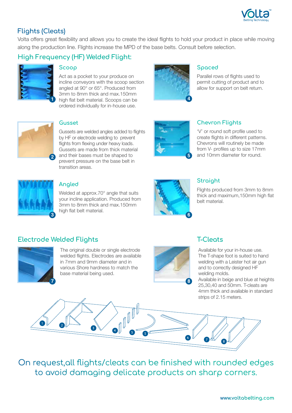

## **Flights (Cleats)**

Volta offers great flexibility and allows you to create the ideal flights to hold your product in place while moving along the production line. Flights increase the MPD of the base belts. Consult before selection.

# **High Frequency (HF) Welded Flight:**



#### **Scoop**

Act as a pocket to your produce on incline conveyors with the scoop section angled at 90° or 65°. Produced from 3mm to 8mm thick and max.150mm high flat belt material. Scoops can be ordered individually for in-house use.



#### **Spaced**

Parallel rows of flights used to permit cutting of product and to allow for support on belt return.

'V' or round soft profile used to create flights in different patterns. Chevrons will routinely be made from V- profiles up to size 17mm and 10mm diameter for round.

**Chevron Flights** 



#### **Gusset**

Gussets are welded angles added to flights by HF or electrode welding to prevent flights from flexing under heavy loads. Gussets are made from thick material and their bases must be shaped to prevent pressure on the base belt in transition areas.



#### **Angled**

Welded at approx.70° angle that suits your incline application. Produced from 3mm to 8mm thick and max.150mm high flat belt material.



**5**

# **Straight**

Flights produced from 3mm to 8mm thick and maximum,150mm high flat belt material.

#### **Electrode Welded Flights T-Cleats**



The original double or single electrode welded flights. Electrodes are available in 7mm and 9mm diameter and in various Shore hardness to match the base material being used.



Available for your in-house use. The T-shape foot is suited to hand welding with a Leister hot air gun and to correctly designed HF welding molds.

Available in beige and blue at heights 25,30,40 and 50mm. T-cleats are 4mm thick and available in standard strips of 2.15 meters.

On request,all flights/cleats can be finished with rounded edges to avoid damaging delicate products on sharp corners.

OUI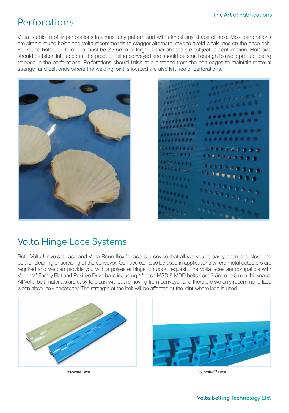# Perforations

Volta is able to offer perforations in almost any pattern and with almost any shape of hole. Most perforations are simple round holes and Volta recommends to stagger alternate rows to avoid weak lines on the base belt. For round holes, perforations must be Ø3.5mm or larger. Other shapes are subject to confirmation. Hole size should be taken into account the product being conveyed and should be small enough to avoid product being trapped in the perforations. Perforations should finish at a distance from the belt edges to maintain material strength and belt ends where the welding joint is located are also left free of perforations.



 $\frac{1}{16} \frac{1}{16} \frac{1}{16} \frac{1}{16} \frac{1}{16} \frac{1}{16} \frac{1}{16} \frac{1}{16} \frac{1}{16}$ **COLLEGEDO \*\*\*\*\*\*\*\*\*\*** ......... ......... .......... ......... ......... ,,,,,,,,, ......... *EASARGEBAB* ,,,,,,,,,,

# Volta Hinge Lace Systems

Both Volta Universal Lace and Volta Roundflex™ Lace is a device that allows you to easily open and close the belt for cleaning or servicing of the conveyor. Our lace can also be used in applications where metal detectors are required and we can provide you with a polyester hinge pin upon request. The Volta laces are compatible with Volta 'M' Family Flat and Positive Drive belts including 1" pitch MSD & MDD belts from 2.5mm to 5 mm thickness. All Volta belt materials are easy to clean without removing from conveyor and therefore we only recommend lace when absolutely necessary. The strength of the belt will be affected at the joint where lace is used.





Universal Lace **Contract Contract Contract Contract Contract** Contract Contract Contract Contract Contract Contra